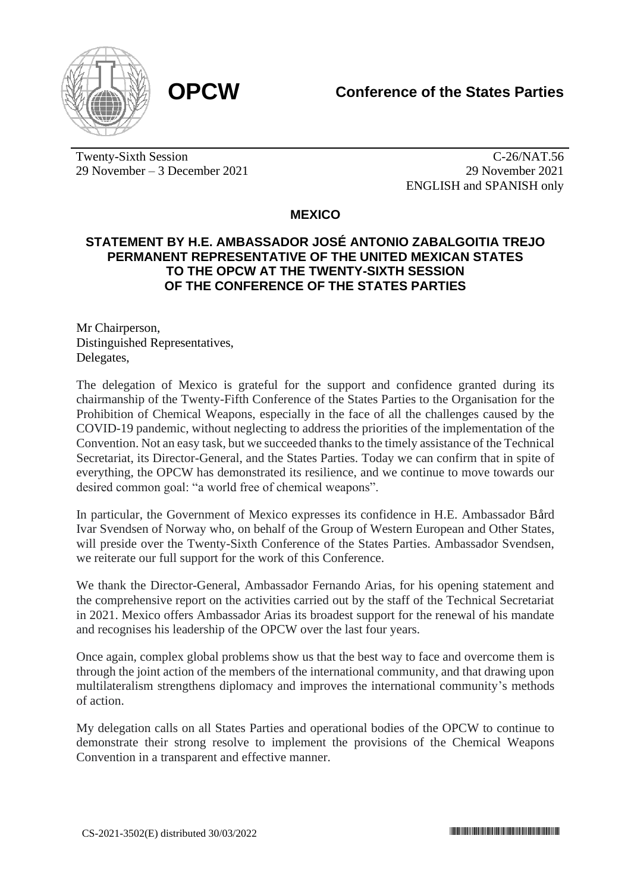

Twenty-Sixth Session 29 November – 3 December 2021

C-26/NAT.56 29 November 2021 ENGLISH and SPANISH only

## **MEXICO**

## **STATEMENT BY H.E. AMBASSADOR JOSÉ ANTONIO ZABALGOITIA TREJO PERMANENT REPRESENTATIVE OF THE UNITED MEXICAN STATES TO THE OPCW AT THE TWENTY-SIXTH SESSION OF THE CONFERENCE OF THE STATES PARTIES**

Mr Chairperson, Distinguished Representatives, Delegates,

The delegation of Mexico is grateful for the support and confidence granted during its chairmanship of the Twenty-Fifth Conference of the States Parties to the Organisation for the Prohibition of Chemical Weapons, especially in the face of all the challenges caused by the COVID-19 pandemic, without neglecting to address the priorities of the implementation of the Convention. Not an easy task, but we succeeded thanks to the timely assistance of the Technical Secretariat, its Director-General, and the States Parties. Today we can confirm that in spite of everything, the OPCW has demonstrated its resilience, and we continue to move towards our desired common goal: "a world free of chemical weapons".

In particular, the Government of Mexico expresses its confidence in H.E. Ambassador Bård Ivar Svendsen of Norway who, on behalf of the Group of Western European and Other States, will preside over the Twenty-Sixth Conference of the States Parties. Ambassador Svendsen, we reiterate our full support for the work of this Conference.

We thank the Director-General, Ambassador Fernando Arias, for his opening statement and the comprehensive report on the activities carried out by the staff of the Technical Secretariat in 2021. Mexico offers Ambassador Arias its broadest support for the renewal of his mandate and recognises his leadership of the OPCW over the last four years.

Once again, complex global problems show us that the best way to face and overcome them is through the joint action of the members of the international community, and that drawing upon multilateralism strengthens diplomacy and improves the international community's methods of action.

My delegation calls on all States Parties and operational bodies of the OPCW to continue to demonstrate their strong resolve to implement the provisions of the Chemical Weapons Convention in a transparent and effective manner.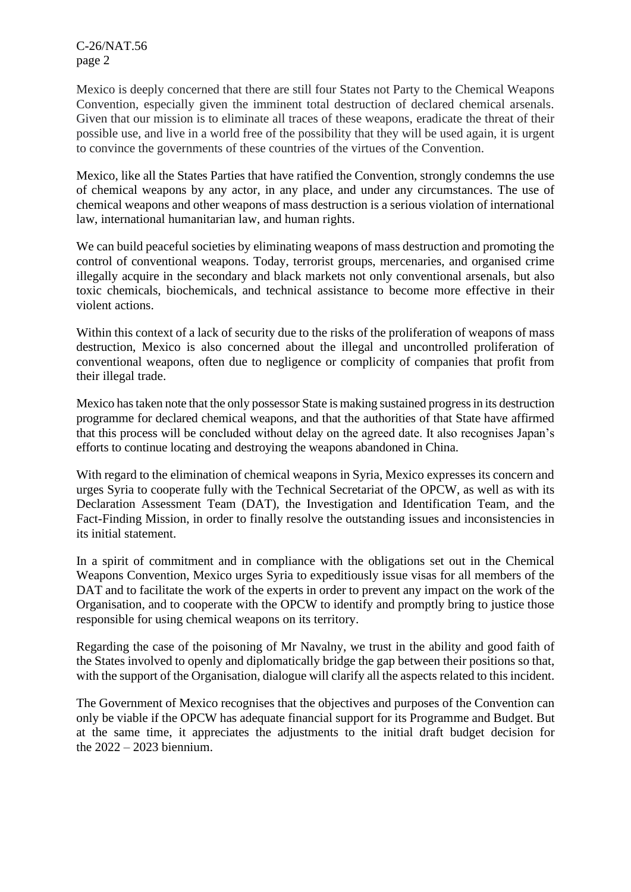C-26/NAT.56 page 2

Mexico is deeply concerned that there are still four States not Party to the Chemical Weapons Convention, especially given the imminent total destruction of declared chemical arsenals. Given that our mission is to eliminate all traces of these weapons, eradicate the threat of their possible use, and live in a world free of the possibility that they will be used again, it is urgent to convince the governments of these countries of the virtues of the Convention.

Mexico, like all the States Parties that have ratified the Convention, strongly condemns the use of chemical weapons by any actor, in any place, and under any circumstances. The use of chemical weapons and other weapons of mass destruction is a serious violation of international law, international humanitarian law, and human rights.

We can build peaceful societies by eliminating weapons of mass destruction and promoting the control of conventional weapons. Today, terrorist groups, mercenaries, and organised crime illegally acquire in the secondary and black markets not only conventional arsenals, but also toxic chemicals, biochemicals, and technical assistance to become more effective in their violent actions.

Within this context of a lack of security due to the risks of the proliferation of weapons of mass destruction, Mexico is also concerned about the illegal and uncontrolled proliferation of conventional weapons, often due to negligence or complicity of companies that profit from their illegal trade.

Mexico has taken note that the only possessor State is making sustained progress in its destruction programme for declared chemical weapons, and that the authorities of that State have affirmed that this process will be concluded without delay on the agreed date. It also recognises Japan's efforts to continue locating and destroying the weapons abandoned in China.

With regard to the elimination of chemical weapons in Syria, Mexico expresses its concern and urges Syria to cooperate fully with the Technical Secretariat of the OPCW, as well as with its Declaration Assessment Team (DAT), the Investigation and Identification Team, and the Fact-Finding Mission, in order to finally resolve the outstanding issues and inconsistencies in its initial statement.

In a spirit of commitment and in compliance with the obligations set out in the Chemical Weapons Convention, Mexico urges Syria to expeditiously issue visas for all members of the DAT and to facilitate the work of the experts in order to prevent any impact on the work of the Organisation, and to cooperate with the OPCW to identify and promptly bring to justice those responsible for using chemical weapons on its territory.

Regarding the case of the poisoning of Mr Navalny, we trust in the ability and good faith of the States involved to openly and diplomatically bridge the gap between their positions so that, with the support of the Organisation, dialogue will clarify all the aspects related to this incident.

The Government of Mexico recognises that the objectives and purposes of the Convention can only be viable if the OPCW has adequate financial support for its Programme and Budget. But at the same time, it appreciates the adjustments to the initial draft budget decision for the 2022 – 2023 biennium.